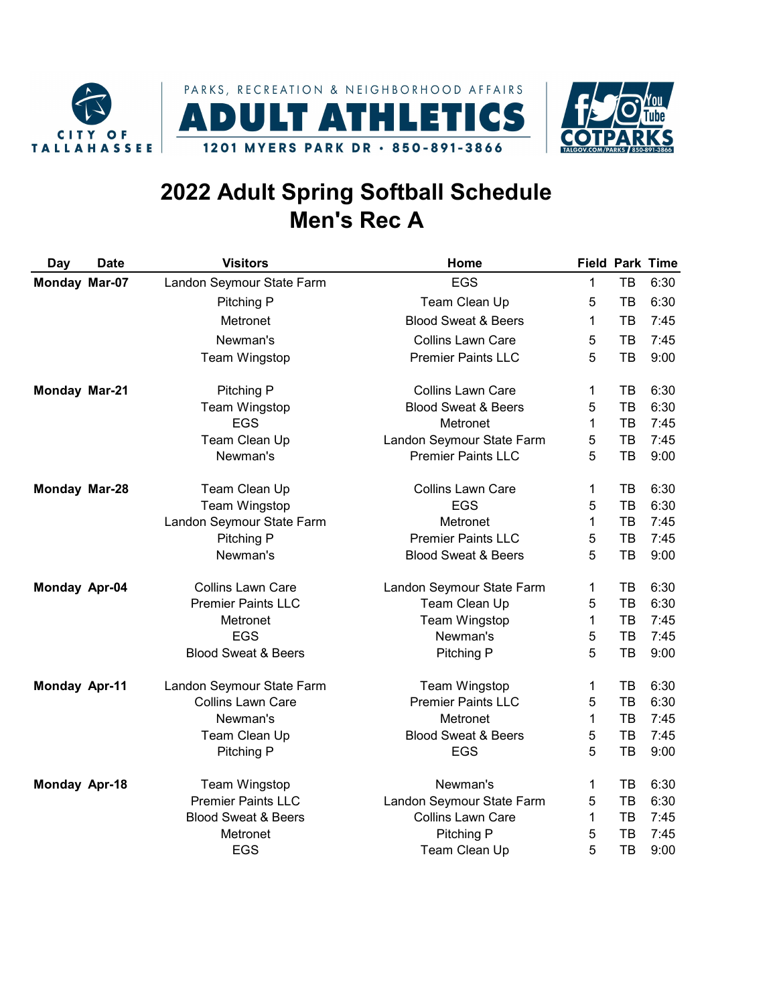





## 2022 Adult Spring Softball Schedule Men's Rec A

| Day                  | <b>Date</b> | <b>Visitors</b>                | Home                           |              |    | <b>Field Park Time</b> |
|----------------------|-------------|--------------------------------|--------------------------------|--------------|----|------------------------|
| Monday Mar-07        |             | Landon Seymour State Farm      | <b>EGS</b>                     | $\mathbf{1}$ | TB | 6:30                   |
|                      |             | Pitching P                     | Team Clean Up                  | 5            | TB | 6:30                   |
|                      |             | Metronet                       | <b>Blood Sweat &amp; Beers</b> | 1            | TB | 7:45                   |
|                      |             | Newman's                       | <b>Collins Lawn Care</b>       | 5            | TB | 7:45                   |
|                      |             | Team Wingstop                  | <b>Premier Paints LLC</b>      | 5            | TB | 9:00                   |
| Monday Mar-21        |             | Pitching P                     | <b>Collins Lawn Care</b>       | 1            | TB | 6:30                   |
|                      |             | Team Wingstop                  | <b>Blood Sweat &amp; Beers</b> | 5            | TB | 6:30                   |
|                      |             | <b>EGS</b>                     | Metronet                       | $\mathbf{1}$ | TB | 7:45                   |
|                      |             | Team Clean Up                  | Landon Seymour State Farm      | 5            | TB | 7:45                   |
|                      |             | Newman's                       | <b>Premier Paints LLC</b>      | 5            | TB | 9:00                   |
| Monday Mar-28        |             | Team Clean Up                  | <b>Collins Lawn Care</b>       | 1            | TB | 6:30                   |
|                      |             | Team Wingstop                  | <b>EGS</b>                     | 5            | TB | 6:30                   |
|                      |             | Landon Seymour State Farm      | Metronet                       | 1            | TB | 7:45                   |
|                      |             | Pitching P                     | <b>Premier Paints LLC</b>      | 5            | TB | 7:45                   |
|                      |             | Newman's                       | <b>Blood Sweat &amp; Beers</b> | 5            | TB | 9:00                   |
| Monday Apr-04        |             | <b>Collins Lawn Care</b>       | Landon Seymour State Farm      | 1            | TB | 6:30                   |
|                      |             | <b>Premier Paints LLC</b>      | Team Clean Up                  | 5            | TB | 6:30                   |
|                      |             | Metronet                       | Team Wingstop                  | $\mathbf{1}$ | TB | 7:45                   |
|                      |             | <b>EGS</b>                     | Newman's                       | 5            | TB | 7:45                   |
|                      |             | <b>Blood Sweat &amp; Beers</b> | Pitching P                     | 5            | TB | 9:00                   |
| <b>Monday Apr-11</b> |             | Landon Seymour State Farm      | Team Wingstop                  | 1            | TB | 6:30                   |
|                      |             | Collins Lawn Care              | <b>Premier Paints LLC</b>      | 5            | TB | 6:30                   |
|                      |             | Newman's                       | Metronet                       | 1            | TB | 7:45                   |
|                      |             | Team Clean Up                  | <b>Blood Sweat &amp; Beers</b> | 5            | TB | 7:45                   |
|                      |             | Pitching P                     | <b>EGS</b>                     | 5            | TB | 9:00                   |
| Monday Apr-18        |             | Team Wingstop                  | Newman's                       | $\mathbf{1}$ | TB | 6:30                   |
|                      |             | <b>Premier Paints LLC</b>      | Landon Seymour State Farm      | 5            | TB | 6:30                   |
|                      |             | <b>Blood Sweat &amp; Beers</b> | <b>Collins Lawn Care</b>       | $\mathbf{1}$ | TB | 7:45                   |
|                      |             | Metronet                       | Pitching P                     | 5            | TB | 7:45                   |
|                      |             | <b>EGS</b>                     | Team Clean Up                  | 5            | TB | 9:00                   |